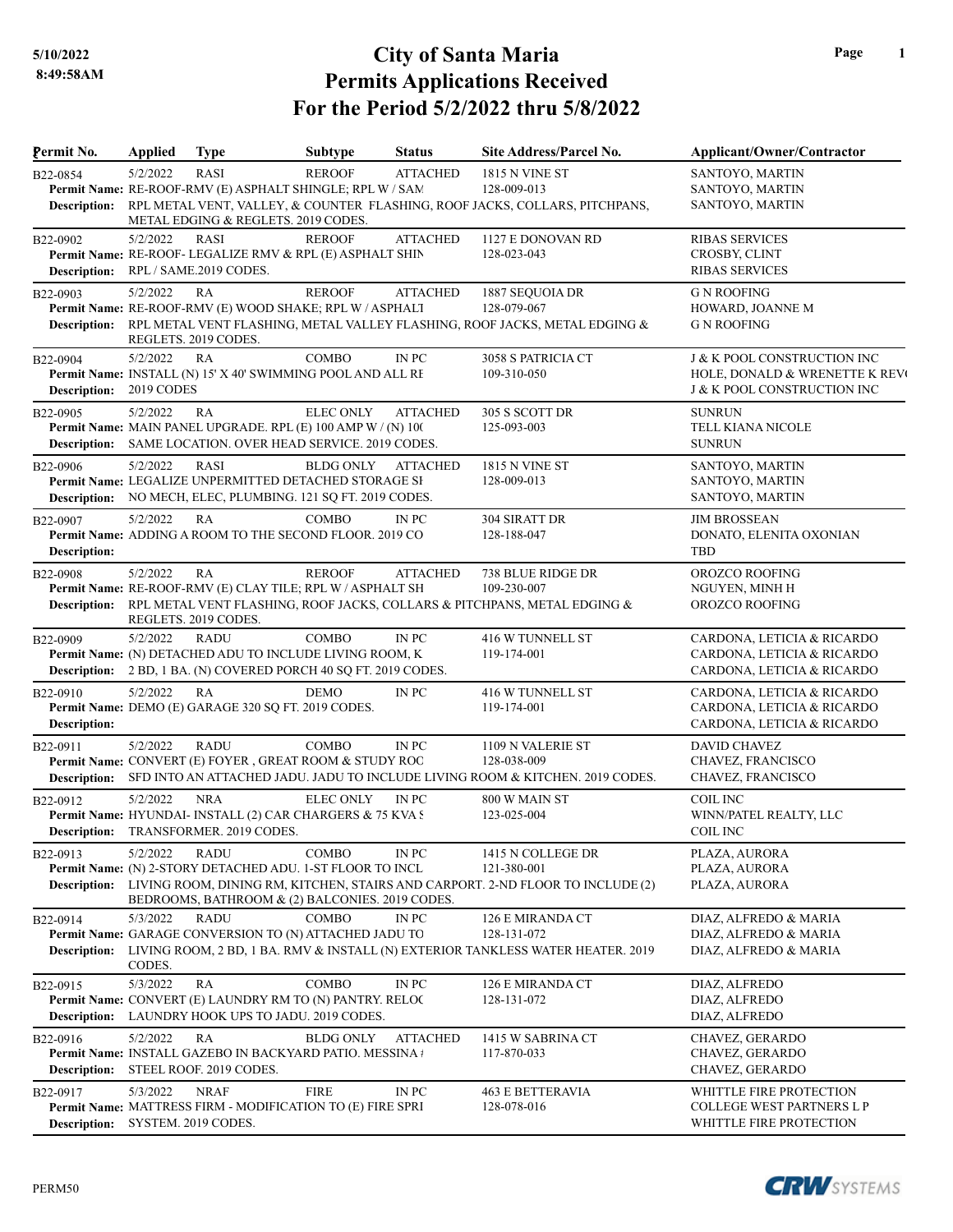| Permit No.                          | <b>Applied</b>                  | <b>Type</b>                                                                                                                                     | Subtype          | <b>Status</b>   | Site Address/Parcel No.                                                                                                          | Applicant/Owner/Contractor                                                                                         |
|-------------------------------------|---------------------------------|-------------------------------------------------------------------------------------------------------------------------------------------------|------------------|-----------------|----------------------------------------------------------------------------------------------------------------------------------|--------------------------------------------------------------------------------------------------------------------|
| B22-0854                            | 5/2/2022                        | RASI<br>Permit Name: RE-ROOF-RMV (E) ASPHALT SHINGLE; RPL W / SAM                                                                               | <b>REROOF</b>    | <b>ATTACHED</b> | <b>1815 N VINE ST</b><br>128-009-013<br>Description: RPL METAL VENT, VALLEY, & COUNTER FLASHING, ROOF JACKS, COLLARS, PITCHPANS, | SANTOYO, MARTIN<br>SANTOYO, MARTIN<br>SANTOYO, MARTIN                                                              |
| B22-0902                            | 5/2/2022                        | METAL EDGING & REGLETS. 2019 CODES.<br>RASI<br>Permit Name: RE-ROOF- LEGALIZE RMV & RPL (E) ASPHALT SHIN<br>Description: RPL / SAME.2019 CODES. | <b>REROOF</b>    | <b>ATTACHED</b> | 1127 E DONOVAN RD<br>128-023-043                                                                                                 | <b>RIBAS SERVICES</b><br>CROSBY, CLINT<br><b>RIBAS SERVICES</b>                                                    |
| B22-0903                            | 5/2/2022                        | RA<br>Permit Name: RE-ROOF-RMV (E) WOOD SHAKE; RPL W / ASPHALT<br>REGLETS. 2019 CODES.                                                          | <b>REROOF</b>    | <b>ATTACHED</b> | 1887 SEQUOIA DR<br>128-079-067<br>Description: RPL METAL VENT FLASHING, METAL VALLEY FLASHING, ROOF JACKS, METAL EDGING &        | <b>G N ROOFING</b><br>HOWARD, JOANNE M<br><b>G N ROOFING</b>                                                       |
| B22-0904<br>Description: 2019 CODES | 5/2/2022                        | RA<br><b>Permit Name: INSTALL (N) 15' X 40' SWIMMING POOL AND ALL RE</b>                                                                        | <b>COMBO</b>     | IN PC           | 3058 S PATRICIA CT<br>109-310-050                                                                                                | <b>J &amp; K POOL CONSTRUCTION INC</b><br>HOLE, DONALD & WRENETTE K REVO<br><b>J &amp; K POOL CONSTRUCTION INC</b> |
| B <sub>22</sub> -0905               | 5/2/2022                        | RA<br>Permit Name: MAIN PANEL UPGRADE. RPL (E) 100 AMP W / (N) 100<br>Description: SAME LOCATION. OVER HEAD SERVICE. 2019 CODES.                | <b>ELEC ONLY</b> | <b>ATTACHED</b> | 305 S SCOTT DR<br>125-093-003                                                                                                    | <b>SUNRUN</b><br>TELL KIANA NICOLE<br><b>SUNRUN</b>                                                                |
| B22-0906                            | 5/2/2022                        | RASI<br>Permit Name: LEGALIZE UNPERMITTED DETACHED STORAGE SH<br><b>Description:</b> NO MECH, ELEC, PLUMBING. 121 SQ FT. 2019 CODES.            | <b>BLDG ONLY</b> | <b>ATTACHED</b> | 1815 N VINE ST<br>128-009-013                                                                                                    | SANTOYO, MARTIN<br>SANTOYO, MARTIN<br>SANTOYO, MARTIN                                                              |
| B22-0907<br><b>Description:</b>     | 5/2/2022                        | RA<br>Permit Name: ADDING A ROOM TO THE SECOND FLOOR. 2019 CO                                                                                   | <b>COMBO</b>     | IN PC           | 304 SIRATT DR<br>128-188-047                                                                                                     | <b>JIM BROSSEAN</b><br>DONATO, ELENITA OXONIAN<br>TBD                                                              |
| B22-0908                            | 5/2/2022                        | RA<br>Permit Name: RE-ROOF-RMV (E) CLAY TILE; RPL W / ASPHALT SH<br>REGLETS. 2019 CODES.                                                        | <b>REROOF</b>    | <b>ATTACHED</b> | 738 BLUE RIDGE DR<br>109-230-007<br>Description: RPL METAL VENT FLASHING, ROOF JACKS, COLLARS & PITCHPANS, METAL EDGING &        | OROZCO ROOFING<br>NGUYEN, MINH H<br>OROZCO ROOFING                                                                 |
| B22-0909                            | 5/2/2022                        | <b>RADU</b><br>Permit Name: (N) DETACHED ADU TO INCLUDE LIVING ROOM, K<br>Description: 2 BD, 1 BA. (N) COVERED PORCH 40 SQ FT. 2019 CODES.      | <b>COMBO</b>     | IN PC           | 416 W TUNNELL ST<br>119-174-001                                                                                                  | CARDONA, LETICIA & RICARDO<br>CARDONA, LETICIA & RICARDO<br>CARDONA, LETICIA & RICARDO                             |
| B22-0910<br>Description:            | 5/2/2022                        | RA<br>Permit Name: DEMO (E) GARAGE 320 SQ FT. 2019 CODES.                                                                                       | <b>DEMO</b>      | IN PC           | 416 W TUNNELL ST<br>119-174-001                                                                                                  | CARDONA, LETICIA & RICARDO<br>CARDONA, LETICIA & RICARDO<br>CARDONA, LETICIA & RICARDO                             |
| B22-0911<br>Description:            | 5/2/2022                        | <b>RADU</b><br>Permit Name: CONVERT (E) FOYER, GREAT ROOM & STUDY ROO                                                                           | <b>COMBO</b>     | IN PC           | 1109 N VALERIE ST<br>128-038-009<br>SFD INTO AN ATTACHED JADU. JADU TO INCLUDE LIVING ROOM & KITCHEN. 2019 CODES.                | <b>DAVID CHAVEZ</b><br>CHAVEZ, FRANCISCO<br>CHAVEZ, FRANCISCO                                                      |
| B22-0912                            | 5/2/2022                        | <b>NRA</b><br>Permit Name: HYUNDAI- INSTALL (2) CAR CHARGERS & 75 KVA S<br><b>Description:</b> TRANSFORMER. 2019 CODES.                         | <b>ELEC ONLY</b> | IN PC           | 800 W MAIN ST<br>123-025-004                                                                                                     | <b>COIL INC</b><br>WINN/PATEL REALTY, LLC<br><b>COIL INC</b>                                                       |
| B22-0913                            | 5/2/2022                        | <b>RADU</b><br>Permit Name: (N) 2-STORY DETACHED ADU. 1-ST FLOOR TO INCL<br>BEDROOMS, BATHROOM & (2) BALCONIES. 2019 CODES.                     | COMBO            | IN PC           | 1415 N COLLEGE DR<br>121-380-001<br>Description: LIVING ROOM, DINING RM, KITCHEN, STAIRS AND CARPORT. 2-ND FLOOR TO INCLUDE (2)  | PLAZA, AURORA<br>PLAZA, AURORA<br>PLAZA, AURORA                                                                    |
| B22-0914                            | 5/3/2022<br>CODES.              | <b>RADU</b><br>Permit Name: GARAGE CONVERSION TO (N) ATTACHED JADU TO                                                                           | COMBO            | IN PC           | 126 E MIRANDA CT<br>128-131-072<br>Description: LIVING ROOM, 2 BD, 1 BA. RMV & INSTALL (N) EXTERIOR TANKLESS WATER HEATER. 2019  | DIAZ, ALFREDO & MARIA<br>DIAZ, ALFREDO & MARIA<br>DIAZ, ALFREDO & MARIA                                            |
| B22-0915                            | 5/3/2022                        | RA<br>Permit Name: CONVERT (E) LAUNDRY RM TO (N) PANTRY. RELOC<br>Description: LAUNDRY HOOK UPS TO JADU. 2019 CODES.                            | COMBO            | IN PC           | 126 E MIRANDA CT<br>128-131-072                                                                                                  | DIAZ, ALFREDO<br>DIAZ, ALFREDO<br>DIAZ, ALFREDO                                                                    |
| B22-0916<br><b>Description:</b>     | 5/2/2022                        | RA<br>Permit Name: INSTALL GAZEBO IN BACKYARD PATIO. MESSINA #<br>STEEL ROOF. 2019 CODES.                                                       | <b>BLDG ONLY</b> | <b>ATTACHED</b> | 1415 W SABRINA CT<br>117-870-033                                                                                                 | CHAVEZ, GERARDO<br>CHAVEZ, GERARDO<br>CHAVEZ, GERARDO                                                              |
| B22-0917<br><b>Description:</b>     | 5/3/2022<br>SYSTEM. 2019 CODES. | <b>NRAF</b><br>Permit Name: MATTRESS FIRM - MODIFICATION TO (E) FIRE SPRI                                                                       | <b>FIRE</b>      | IN PC           | <b>463 E BETTERAVIA</b><br>128-078-016                                                                                           | WHITTLE FIRE PROTECTION<br><b>COLLEGE WEST PARTNERS L P</b><br>WHITTLE FIRE PROTECTION                             |



**Page 1**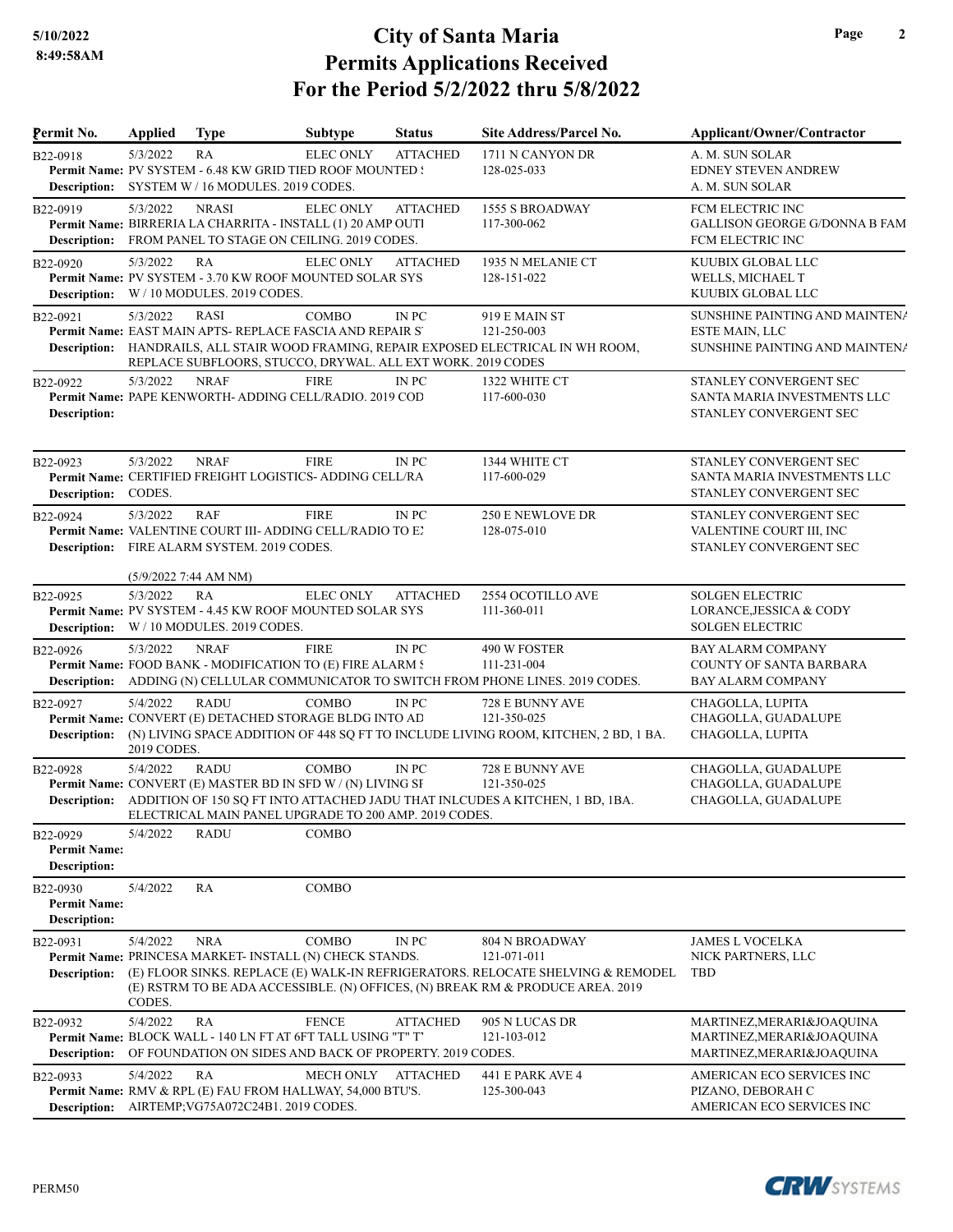| Permit No.                                             | <b>Applied</b>                    | <b>Type</b>                                                                                                                             | <b>Subtype</b>   | <b>Status</b>   | Site Address/Parcel No.                                                                                                                                                                                   | Applicant/Owner/Contractor                                                             |
|--------------------------------------------------------|-----------------------------------|-----------------------------------------------------------------------------------------------------------------------------------------|------------------|-----------------|-----------------------------------------------------------------------------------------------------------------------------------------------------------------------------------------------------------|----------------------------------------------------------------------------------------|
| B22-0918                                               | 5/3/2022                          | RA<br>Permit Name: PV SYSTEM - 6.48 KW GRID TIED ROOF MOUNTED !<br>Description: SYSTEM W / 16 MODULES. 2019 CODES.                      | <b>ELEC ONLY</b> | <b>ATTACHED</b> | 1711 N CANYON DR<br>128-025-033                                                                                                                                                                           | A. M. SUN SOLAR<br><b>EDNEY STEVEN ANDREW</b><br>A. M. SUN SOLAR                       |
| B22-0919                                               | 5/3/2022                          | <b>NRASI</b><br>Permit Name: BIRRERIA LA CHARRITA - INSTALL (1) 20 AMP OUTI<br>Description: FROM PANEL TO STAGE ON CEILING. 2019 CODES. | <b>ELEC ONLY</b> | <b>ATTACHED</b> | <b>1555 S BROADWAY</b><br>117-300-062                                                                                                                                                                     | FCM ELECTRIC INC<br><b>GALLISON GEORGE G/DONNA B FAM</b><br>FCM ELECTRIC INC           |
| B22-0920<br><b>Description:</b>                        | 5/3/2022                          | RA<br>Permit Name: PV SYSTEM - 3.70 KW ROOF MOUNTED SOLAR SYS<br>W / 10 MODULES. 2019 CODES.                                            | <b>ELEC ONLY</b> | <b>ATTACHED</b> | 1935 N MELANIE CT<br>128-151-022                                                                                                                                                                          | KUUBIX GLOBAL LLC<br>WELLS, MICHAEL T<br>KUUBIX GLOBAL LLC                             |
| B22-0921                                               | 5/3/2022                          | RASI<br>Permit Name: EAST MAIN APTS- REPLACE FASCIA AND REPAIR S'<br>REPLACE SUBFLOORS, STUCCO, DRYWAL. ALL EXT WORK. 2019 CODES        | <b>COMBO</b>     | IN PC           | 919 E MAIN ST<br>121-250-003<br>Description: HANDRAILS, ALL STAIR WOOD FRAMING, REPAIR EXPOSED ELECTRICAL IN WH ROOM,                                                                                     | SUNSHINE PAINTING AND MAINTENA<br>ESTE MAIN, LLC<br>SUNSHINE PAINTING AND MAINTENA     |
| B22-0922<br>Description:                               | 5/3/2022                          | <b>NRAF</b><br>Permit Name: PAPE KENWORTH- ADDING CELL/RADIO. 2019 COD                                                                  | <b>FIRE</b>      | IN PC           | 1322 WHITE CT<br>117-600-030                                                                                                                                                                              | STANLEY CONVERGENT SEC<br>SANTA MARIA INVESTMENTS LLC<br>STANLEY CONVERGENT SEC        |
| B22-0923<br>Description: CODES.                        | 5/3/2022                          | <b>NRAF</b><br>Permit Name: CERTIFIED FREIGHT LOGISTICS- ADDING CELL/RA                                                                 | <b>FIRE</b>      | IN PC           | 1344 WHITE CT<br>117-600-029                                                                                                                                                                              | STANLEY CONVERGENT SEC<br>SANTA MARIA INVESTMENTS LLC<br>STANLEY CONVERGENT SEC        |
| B22-0924                                               | 5/3/2022                          | RAF<br>Permit Name: VALENTINE COURT III-ADDING CELL/RADIO TO EN<br>Description: FIRE ALARM SYSTEM. 2019 CODES.                          | <b>FIRE</b>      | IN PC           | <b>250 E NEWLOVE DR</b><br>128-075-010                                                                                                                                                                    | STANLEY CONVERGENT SEC<br>VALENTINE COURT III, INC<br>STANLEY CONVERGENT SEC           |
| B22-0925                                               | (5/9/2022 7:44 AM NM)<br>5/3/2022 | RA<br>Permit Name: PV SYSTEM - 4.45 KW ROOF MOUNTED SOLAR SYS<br><b>Description:</b> W / 10 MODULES. 2019 CODES.                        | <b>ELEC ONLY</b> | <b>ATTACHED</b> | 2554 OCOTILLO AVE<br>111-360-011                                                                                                                                                                          | <b>SOLGEN ELECTRIC</b><br>LORANCE, JESSICA & CODY<br><b>SOLGEN ELECTRIC</b>            |
| B22-0926                                               | 5/3/2022                          | <b>NRAF</b><br>Permit Name: FOOD BANK - MODIFICATION TO (E) FIRE ALARM S                                                                | <b>FIRE</b>      | IN PC           | 490 W FOSTER<br>111-231-004<br>Description: ADDING (N) CELLULAR COMMUNICATOR TO SWITCH FROM PHONE LINES. 2019 CODES.                                                                                      | <b>BAY ALARM COMPANY</b><br><b>COUNTY OF SANTA BARBARA</b><br><b>BAY ALARM COMPANY</b> |
| B22-0927<br>Description:                               | 5/4/2022<br>2019 CODES.           | RADU<br>Permit Name: CONVERT (E) DETACHED STORAGE BLDG INTO AD                                                                          | <b>COMBO</b>     | IN PC           | 728 E BUNNY AVE<br>121-350-025<br>(N) LIVING SPACE ADDITION OF 448 SQ FT TO INCLUDE LIVING ROOM, KITCHEN, 2 BD, 1 BA.                                                                                     | CHAGOLLA, LUPITA<br>CHAGOLLA, GUADALUPE<br>CHAGOLLA, LUPITA                            |
| B22-0928                                               | 5/4/2022                          | RADU<br>Permit Name: CONVERT (E) MASTER BD IN SFD W / (N) LIVING SF<br>ELECTRICAL MAIN PANEL UPGRADE TO 200 AMP. 2019 CODES.            | <b>COMBO</b>     | IN PC           | 728 E BUNNY AVE<br>121-350-025<br>Description: ADDITION OF 150 SO FT INTO ATTACHED JADU THAT INLCUDES A KITCHEN, 1 BD, 1BA.                                                                               | CHAGOLLA, GUADALUPE<br>CHAGOLLA, GUADALUPE<br>CHAGOLLA, GUADALUPE                      |
| B22-0929<br><b>Permit Name:</b><br><b>Description:</b> | 5/4/2022                          | RADU                                                                                                                                    | COMBO            |                 |                                                                                                                                                                                                           |                                                                                        |
| B22-0930<br><b>Permit Name:</b><br><b>Description:</b> | 5/4/2022                          | RA                                                                                                                                      | COMBO            |                 |                                                                                                                                                                                                           |                                                                                        |
| B22-0931<br><b>Description:</b>                        | 5/4/2022<br>CODES.                | <b>NRA</b><br>Permit Name: PRINCESA MARKET- INSTALL (N) CHECK STANDS.                                                                   | COMBO            | IN PC           | <b>804 N BROADWAY</b><br>121-071-011<br>(E) FLOOR SINKS. REPLACE (E) WALK-IN REFRIGERATORS. RELOCATE SHELVING & REMODEL<br>(E) RSTRM TO BE ADA ACCESSIBLE. (N) OFFICES, (N) BREAK RM & PRODUCE AREA. 2019 | <b>JAMES L VOCELKA</b><br>NICK PARTNERS, LLC<br>TBD                                    |
| B22-0932<br><b>Description:</b>                        | 5/4/2022                          | RA<br>Permit Name: BLOCK WALL - 140 LN FT AT 6FT TALL USING "T" T'<br>OF FOUNDATION ON SIDES AND BACK OF PROPERTY. 2019 CODES.          | <b>FENCE</b>     | <b>ATTACHED</b> | 905 N LUCAS DR<br>121-103-012                                                                                                                                                                             | MARTINEZ, MERARI& JOAQUINA<br>MARTINEZ, MERARI& JOAQUINA<br>MARTINEZ, MERARI& JOAQUINA |
| B22-0933                                               | 5/4/2022                          | RA<br>Permit Name: RMV & RPL (E) FAU FROM HALLWAY, 54,000 BTU'S.<br>Description: AIRTEMP;VG75A072C24B1. 2019 CODES.                     | <b>MECH ONLY</b> | <b>ATTACHED</b> | 441 E PARK AVE 4<br>125-300-043                                                                                                                                                                           | AMERICAN ECO SERVICES INC<br>PIZANO, DEBORAH C<br>AMERICAN ECO SERVICES INC            |



**Page 2**

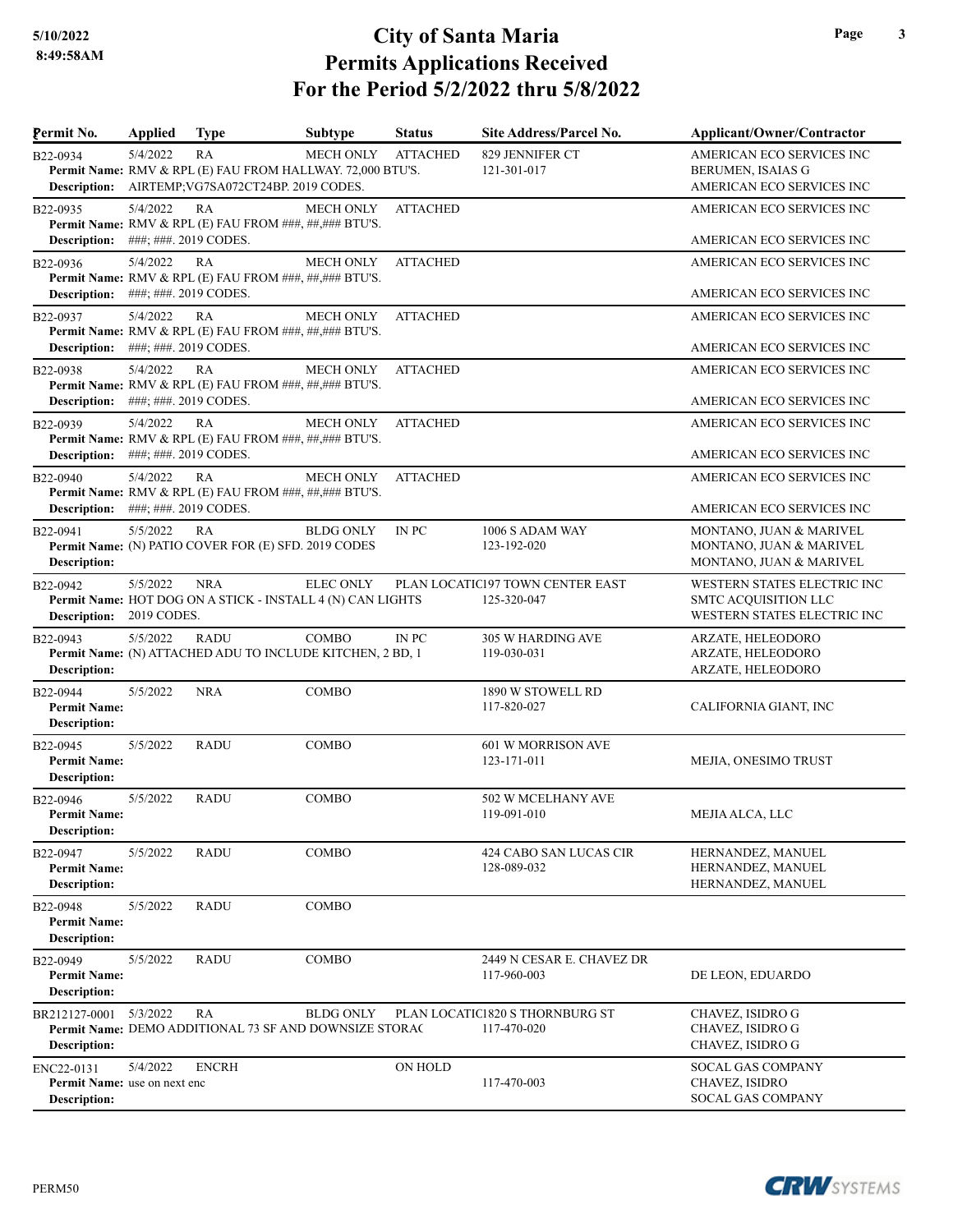| Permit No.                                                 | <b>Applied</b>                    | <b>Type</b>                                                                                             | <b>Subtype</b>   | <b>Status</b>   | Site Address/Parcel No.                         | Applicant/Owner/Contractor                                                         |
|------------------------------------------------------------|-----------------------------------|---------------------------------------------------------------------------------------------------------|------------------|-----------------|-------------------------------------------------|------------------------------------------------------------------------------------|
| B22-0934<br>Description:                                   | 5/4/2022                          | RA<br>Permit Name: RMV & RPL (E) FAU FROM HALLWAY. 72,000 BTU'S.<br>AIRTEMP;VG7SA072CT24BP. 2019 CODES. | <b>MECH ONLY</b> | <b>ATTACHED</b> | 829 JENNIFER CT<br>121-301-017                  | AMERICAN ECO SERVICES INC<br><b>BERUMEN, ISAIAS G</b><br>AMERICAN ECO SERVICES INC |
| B22-0935                                                   | 5/4/2022                          | RA<br>Permit Name: RMV & RPL (E) FAU FROM ###, ##, ### BTU'S.                                           | <b>MECH ONLY</b> | <b>ATTACHED</b> |                                                 | AMERICAN ECO SERVICES INC                                                          |
| Description:                                               | ###; ###. 2019 CODES.             |                                                                                                         |                  |                 |                                                 | AMERICAN ECO SERVICES INC                                                          |
| B22-0936<br>Description:                                   | 5/4/2022<br>###; ###. 2019 CODES. | RA<br>Permit Name: RMV & RPL (E) FAU FROM ###, ##, ### BTU'S.                                           | <b>MECH ONLY</b> | <b>ATTACHED</b> |                                                 | AMERICAN ECO SERVICES INC<br>AMERICAN ECO SERVICES INC                             |
| B22-0937<br><b>Description:</b>                            | 5/4/2022<br>###; ###. 2019 CODES. | RA<br>Permit Name: RMV & RPL (E) FAU FROM ###, ##, ### BTU'S.                                           | <b>MECH ONLY</b> | <b>ATTACHED</b> |                                                 | AMERICAN ECO SERVICES INC<br>AMERICAN ECO SERVICES INC                             |
| B22-0938                                                   | 5/4/2022                          | RA<br>Permit Name: RMV & RPL (E) FAU FROM ###, ##, ### BTU'S.                                           | <b>MECH ONLY</b> | <b>ATTACHED</b> |                                                 | AMERICAN ECO SERVICES INC                                                          |
| <b>Description:</b>                                        | ###; ###. 2019 CODES.             |                                                                                                         |                  |                 |                                                 | AMERICAN ECO SERVICES INC                                                          |
| B22-0939<br>Description:                                   | 5/4/2022<br>###; ###. 2019 CODES. | RA<br>Permit Name: RMV & RPL (E) FAU FROM ###, ##, ### BTU'S.                                           | <b>MECH ONLY</b> | <b>ATTACHED</b> |                                                 | AMERICAN ECO SERVICES INC<br>AMERICAN ECO SERVICES INC                             |
| B22-0940                                                   | 5/4/2022                          | RA<br>Permit Name: RMV & RPL (E) FAU FROM ###, ##, ### BTU'S.                                           | <b>MECH ONLY</b> | <b>ATTACHED</b> |                                                 | AMERICAN ECO SERVICES INC                                                          |
| <b>Description:</b>                                        | ###; ###. 2019 CODES.             |                                                                                                         |                  |                 |                                                 | AMERICAN ECO SERVICES INC                                                          |
| B22-0941<br><b>Description:</b>                            | 5/5/2022                          | RA<br>Permit Name: (N) PATIO COVER FOR (E) SFD. 2019 CODES                                              | <b>BLDG ONLY</b> | IN PC           | 1006 S ADAM WAY<br>123-192-020                  | MONTANO, JUAN & MARIVEL<br>MONTANO, JUAN & MARIVEL<br>MONTANO, JUAN & MARIVEL      |
| B22-0942<br><b>Description:</b>                            | 5/5/2022<br>2019 CODES.           | <b>NRA</b><br>Permit Name: HOT DOG ON A STICK - INSTALL 4 (N) CAN LIGHTS                                | <b>ELEC ONLY</b> |                 | PLAN LOCATIC197 TOWN CENTER EAST<br>125-320-047 | WESTERN STATES ELECTRIC INC<br>SMTC ACQUISITION LLC<br>WESTERN STATES ELECTRIC INC |
| B22-0943<br>Description:                                   | 5/5/2022                          | <b>RADU</b><br>Permit Name: (N) ATTACHED ADU TO INCLUDE KITCHEN, 2 BD, 1                                | <b>COMBO</b>     | IN PC           | 305 W HARDING AVE<br>119-030-031                | ARZATE, HELEODORO<br>ARZATE, HELEODORO<br>ARZATE, HELEODORO                        |
| B22-0944<br><b>Permit Name:</b><br><b>Description:</b>     | 5/5/2022                          | <b>NRA</b>                                                                                              | COMBO            |                 | 1890 W STOWELL RD<br>117-820-027                | CALIFORNIA GIANT, INC                                                              |
| B22-0945<br><b>Permit Name:</b><br><b>Description:</b>     | 5/5/2022                          | <b>RADU</b>                                                                                             | COMBO            |                 | 601 W MORRISON AVE<br>123-171-011               | MEJIA, ONESIMO TRUST                                                               |
| B22-0946<br><b>Permit Name:</b><br>Description:            | 5/5/2022                          | <b>RADU</b>                                                                                             | COMBO            |                 | 502 W MCELHANY AVE<br>119-091-010               | MEJIA ALCA, LLC                                                                    |
| B22-0947<br><b>Permit Name:</b><br>Description:            | 5/5/2022                          | <b>RADU</b>                                                                                             | COMBO            |                 | 424 CABO SAN LUCAS CIR<br>128-089-032           | HERNANDEZ, MANUEL<br>HERNANDEZ, MANUEL<br>HERNANDEZ, MANUEL                        |
| B22-0948<br><b>Permit Name:</b><br><b>Description:</b>     | 5/5/2022                          | <b>RADU</b>                                                                                             | COMBO            |                 |                                                 |                                                                                    |
| B22-0949<br><b>Permit Name:</b><br>Description:            | 5/5/2022                          | <b>RADU</b>                                                                                             | COMBO            |                 | 2449 N CESAR E. CHAVEZ DR<br>117-960-003        | DE LEON, EDUARDO                                                                   |
| BR212127-0001<br>Description:                              | 5/3/2022                          | RA<br>Permit Name: DEMO ADDITIONAL 73 SF AND DOWNSIZE STORAC                                            | <b>BLDG ONLY</b> |                 | PLAN LOCATIC1820 S THORNBURG ST<br>117-470-020  | CHAVEZ, ISIDRO G<br>CHAVEZ, ISIDRO G<br>CHAVEZ, ISIDRO G                           |
| ENC22-0131<br>Permit Name: use on next enc<br>Description: | 5/4/2022                          | <b>ENCRH</b>                                                                                            |                  | ON HOLD         | 117-470-003                                     | <b>SOCAL GAS COMPANY</b><br>CHAVEZ, ISIDRO<br>SOCAL GAS COMPANY                    |